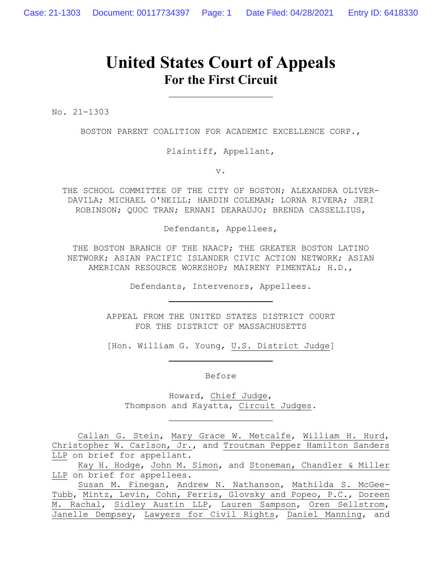# **United States Court of Appeals For the First Circuit**

No. 21-1303

BOSTON PARENT COALITION FOR ACADEMIC EXCELLENCE CORP.,

Plaintiff, Appellant,

v.

THE SCHOOL COMMITTEE OF THE CITY OF BOSTON; ALEXANDRA OLIVER-DAVILA; MICHAEL O'NEILL; HARDIN COLEMAN; LORNA RIVERA; JERI ROBINSON; QUOC TRAN; ERNANI DEARAUJO; BRENDA CASSELLIUS,

Defendants, Appellees,

THE BOSTON BRANCH OF THE NAACP; THE GREATER BOSTON LATINO NETWORK; ASIAN PACIFIC ISLANDER CIVIC ACTION NETWORK; ASIAN AMERICAN RESOURCE WORKSHOP; MAIRENY PIMENTAL; H.D.,

Defendants, Intervenors, Appellees.

APPEAL FROM THE UNITED STATES DISTRICT COURT FOR THE DISTRICT OF MASSACHUSETTS

[Hon. William G. Young, U.S. District Judge]

Before

Howard, Chief Judge, Thompson and Kayatta, Circuit Judges.

Callan G. Stein, Mary Grace W. Metcalfe, William H. Hurd, Christopher W. Carlson, Jr., and Troutman Pepper Hamilton Sanders LLP on brief for appellant.

Kay H. Hodge, John M. Simon, and Stoneman, Chandler & Miller LLP on brief for appellees.

Susan M. Finegan, Andrew N. Nathanson, Mathilda S. McGee-Tubb, Mintz, Levin, Cohn, Ferris, Glovsky and Popeo, P.C., Doreen M. Rachal, Sidley Austin LLP, Lauren Sampson, Oren Sellstrom, Janelle Dempsey, Lawyers for Civil Rights, Daniel Manning, and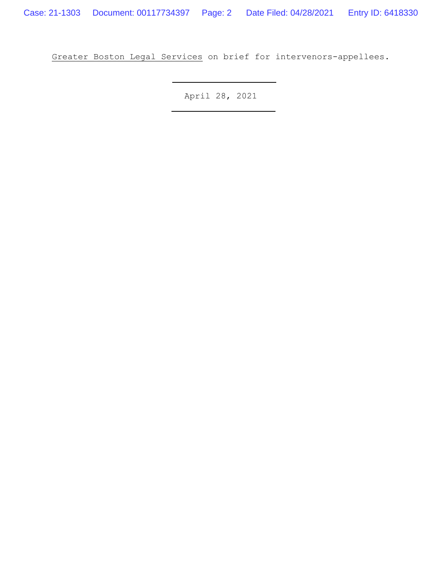Greater Boston Legal Services on brief for intervenors-appellees.

April 28, 2021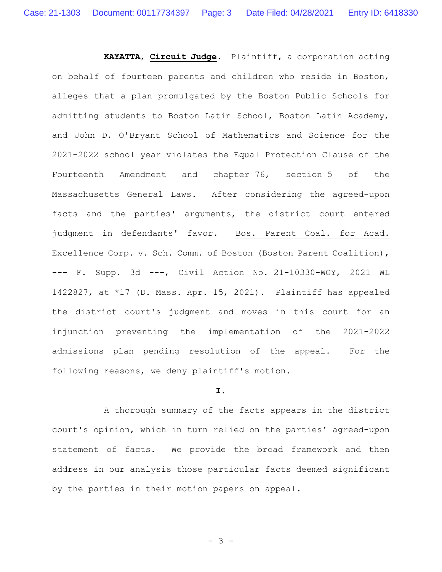**KAYATTA**, **Circuit Judge**. Plaintiff, a corporation acting on behalf of fourteen parents and children who reside in Boston, alleges that a plan promulgated by the Boston Public Schools for admitting students to Boston Latin School, Boston Latin Academy, and John D. O'Bryant School of Mathematics and Science for the 2021–2022 school year violates the Equal Protection Clause of the Fourteenth Amendment and chapter 76, section 5 of the Massachusetts General Laws. After considering the agreed-upon facts and the parties' arguments, the district court entered judgment in defendants' favor. Bos. Parent Coal. for Acad. Excellence Corp. v. Sch. Comm. of Boston (Boston Parent Coalition), --- F. Supp. 3d ---, Civil Action No. 21-10330-WGY, 2021 WL 1422827, at \*17 (D. Mass. Apr. 15, 2021). Plaintiff has appealed the district court's judgment and moves in this court for an injunction preventing the implementation of the 2021-2022 admissions plan pending resolution of the appeal. For the following reasons, we deny plaintiff's motion.

#### **I.**

A thorough summary of the facts appears in the district court's opinion, which in turn relied on the parties' agreed-upon statement of facts. We provide the broad framework and then address in our analysis those particular facts deemed significant by the parties in their motion papers on appeal.

- 3 -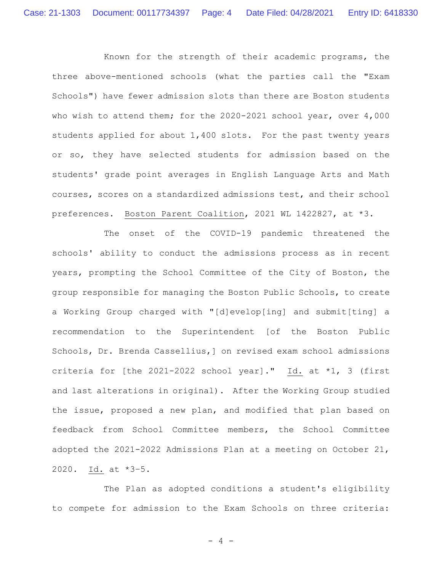Known for the strength of their academic programs, the three above-mentioned schools (what the parties call the "Exam Schools") have fewer admission slots than there are Boston students who wish to attend them; for the 2020-2021 school year, over 4,000 students applied for about 1,400 slots. For the past twenty years or so, they have selected students for admission based on the students' grade point averages in English Language Arts and Math courses, scores on a standardized admissions test, and their school preferences. Boston Parent Coalition, 2021 WL 1422827, at \*3.

The onset of the COVID-19 pandemic threatened the schools' ability to conduct the admissions process as in recent years, prompting the School Committee of the City of Boston, the group responsible for managing the Boston Public Schools, to create a Working Group charged with "[d]evelop[ing] and submit[ting] a recommendation to the Superintendent [of the Boston Public Schools, Dr. Brenda Cassellius,] on revised exam school admissions criteria for [the 2021-2022 school year]." Id. at \*1, 3 (first and last alterations in original). After the Working Group studied the issue, proposed a new plan, and modified that plan based on feedback from School Committee members, the School Committee adopted the 2021-2022 Admissions Plan at a meeting on October 21, 2020. Id. at \*3–5.

The Plan as adopted conditions a student's eligibility to compete for admission to the Exam Schools on three criteria:

- 4 -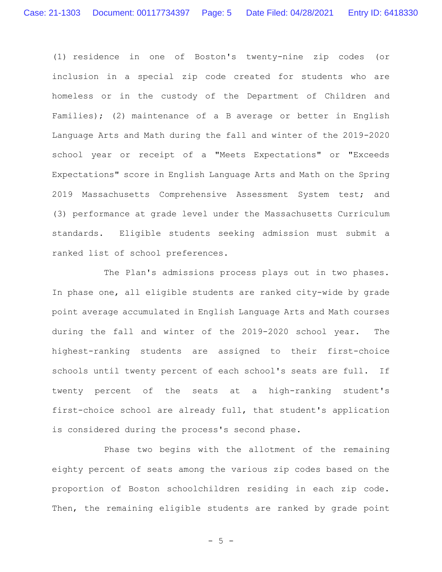(1) residence in one of Boston's twenty-nine zip codes (or inclusion in a special zip code created for students who are homeless or in the custody of the Department of Children and Families); (2) maintenance of a B average or better in English Language Arts and Math during the fall and winter of the 2019-2020 school year or receipt of a "Meets Expectations" or "Exceeds Expectations" score in English Language Arts and Math on the Spring 2019 Massachusetts Comprehensive Assessment System test; and (3) performance at grade level under the Massachusetts Curriculum standards. Eligible students seeking admission must submit a ranked list of school preferences.

The Plan's admissions process plays out in two phases. In phase one, all eligible students are ranked city-wide by grade point average accumulated in English Language Arts and Math courses during the fall and winter of the 2019-2020 school year. The highest-ranking students are assigned to their first-choice schools until twenty percent of each school's seats are full. If twenty percent of the seats at a high-ranking student's first-choice school are already full, that student's application is considered during the process's second phase.

Phase two begins with the allotment of the remaining eighty percent of seats among the various zip codes based on the proportion of Boston schoolchildren residing in each zip code. Then, the remaining eligible students are ranked by grade point

 $- 5 -$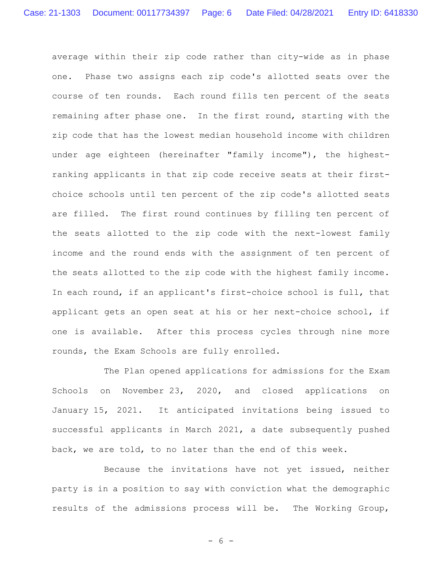average within their zip code rather than city-wide as in phase one. Phase two assigns each zip code's allotted seats over the course of ten rounds. Each round fills ten percent of the seats remaining after phase one. In the first round, starting with the zip code that has the lowest median household income with children under age eighteen (hereinafter "family income"), the highestranking applicants in that zip code receive seats at their firstchoice schools until ten percent of the zip code's allotted seats are filled. The first round continues by filling ten percent of the seats allotted to the zip code with the next-lowest family income and the round ends with the assignment of ten percent of the seats allotted to the zip code with the highest family income. In each round, if an applicant's first-choice school is full, that applicant gets an open seat at his or her next-choice school, if one is available. After this process cycles through nine more rounds, the Exam Schools are fully enrolled.

The Plan opened applications for admissions for the Exam Schools on November 23, 2020, and closed applications on January 15, 2021. It anticipated invitations being issued to successful applicants in March 2021, a date subsequently pushed back, we are told, to no later than the end of this week.

Because the invitations have not yet issued, neither party is in a position to say with conviction what the demographic results of the admissions process will be. The Working Group,

- 6 -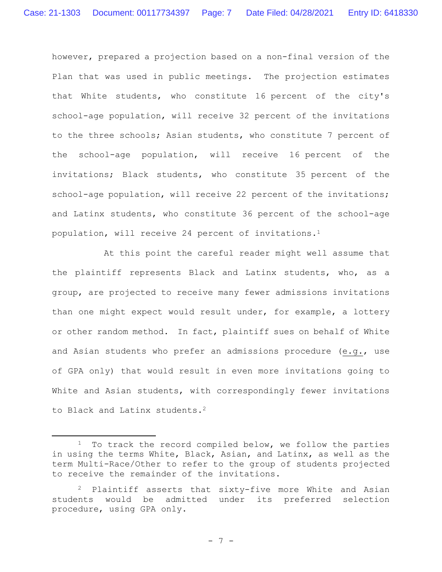however, prepared a projection based on a non-final version of the Plan that was used in public meetings. The projection estimates that White students, who constitute 16 percent of the city's school-age population, will receive 32 percent of the invitations to the three schools; Asian students, who constitute 7 percent of the school-age population, will receive 16 percent of the invitations; Black students, who constitute 35 percent of the school-age population, will receive 22 percent of the invitations; and Latinx students, who constitute 36 percent of the school-age population, will receive 24 percent of invitations.<sup>1</sup>

At this point the careful reader might well assume that the plaintiff represents Black and Latinx students, who, as a group, are projected to receive many fewer admissions invitations than one might expect would result under, for example, a lottery or other random method. In fact, plaintiff sues on behalf of White and Asian students who prefer an admissions procedure (e.g., use of GPA only) that would result in even more invitations going to White and Asian students, with correspondingly fewer invitations to Black and Latinx students.<sup>2</sup>

<sup>&</sup>lt;sup>1</sup> To track the record compiled below, we follow the parties in using the terms White, Black, Asian, and Latinx, as well as the term Multi-Race/Other to refer to the group of students projected to receive the remainder of the invitations.

<sup>2</sup> Plaintiff asserts that sixty-five more White and Asian students would be admitted under its preferred selection procedure, using GPA only.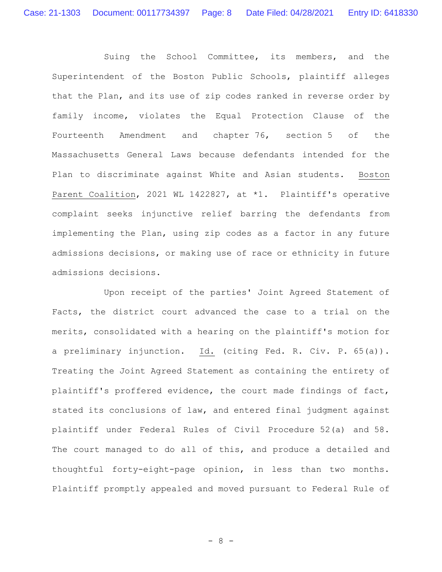Suing the School Committee, its members, and the Superintendent of the Boston Public Schools, plaintiff alleges that the Plan, and its use of zip codes ranked in reverse order by family income, violates the Equal Protection Clause of the Fourteenth Amendment and chapter 76, section 5 of the Massachusetts General Laws because defendants intended for the Plan to discriminate against White and Asian students. Boston Parent Coalition, 2021 WL 1422827, at \*1. Plaintiff's operative complaint seeks injunctive relief barring the defendants from implementing the Plan, using zip codes as a factor in any future admissions decisions, or making use of race or ethnicity in future admissions decisions.

Upon receipt of the parties' Joint Agreed Statement of Facts, the district court advanced the case to a trial on the merits, consolidated with a hearing on the plaintiff's motion for a preliminary injunction. Id. (citing Fed. R. Civ. P. 65(a)). Treating the Joint Agreed Statement as containing the entirety of plaintiff's proffered evidence, the court made findings of fact, stated its conclusions of law, and entered final judgment against plaintiff under Federal Rules of Civil Procedure 52(a) and 58. The court managed to do all of this, and produce a detailed and thoughtful forty-eight-page opinion, in less than two months. Plaintiff promptly appealed and moved pursuant to Federal Rule of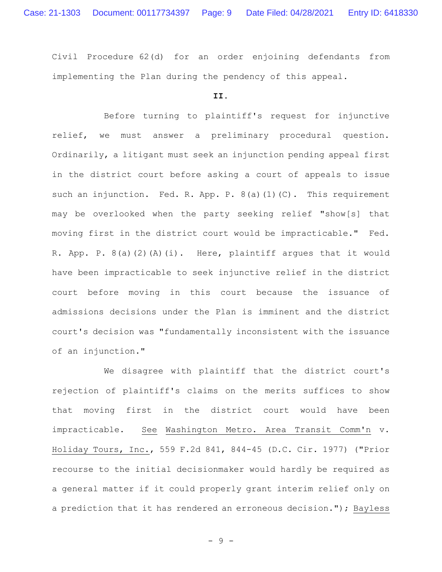Civil Procedure 62(d) for an order enjoining defendants from implementing the Plan during the pendency of this appeal.

## **II.**

Before turning to plaintiff's request for injunctive relief, we must answer a preliminary procedural question. Ordinarily, a litigant must seek an injunction pending appeal first in the district court before asking a court of appeals to issue such an injunction. Fed. R. App. P. 8(a)(1)(C). This requirement may be overlooked when the party seeking relief "show[s] that moving first in the district court would be impracticable." Fed. R. App. P. 8(a)(2)(A)(i). Here, plaintiff argues that it would have been impracticable to seek injunctive relief in the district court before moving in this court because the issuance of admissions decisions under the Plan is imminent and the district court's decision was "fundamentally inconsistent with the issuance of an injunction."

We disagree with plaintiff that the district court's rejection of plaintiff's claims on the merits suffices to show that moving first in the district court would have been impracticable. See Washington Metro. Area Transit Comm'n v. Holiday Tours, Inc., 559 F.2d 841, 844-45 (D.C. Cir. 1977) ("Prior recourse to the initial decisionmaker would hardly be required as a general matter if it could properly grant interim relief only on a prediction that it has rendered an erroneous decision."); Bayless

- 9 -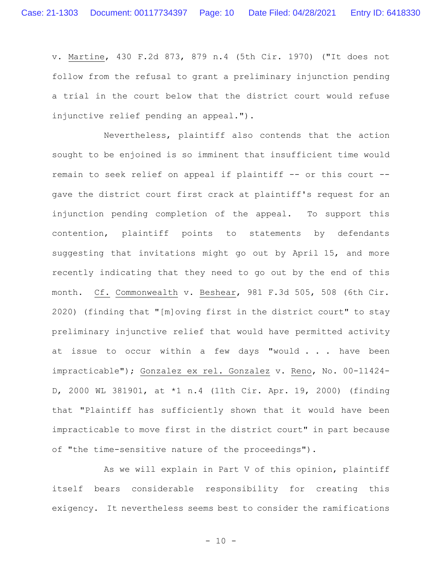v. Martine, 430 F.2d 873, 879 n.4 (5th Cir. 1970) ("It does not follow from the refusal to grant a preliminary injunction pending a trial in the court below that the district court would refuse injunctive relief pending an appeal.").

Nevertheless, plaintiff also contends that the action sought to be enjoined is so imminent that insufficient time would remain to seek relief on appeal if plaintiff -- or this court - gave the district court first crack at plaintiff's request for an injunction pending completion of the appeal. To support this contention, plaintiff points to statements by defendants suggesting that invitations might go out by April 15, and more recently indicating that they need to go out by the end of this month. Cf. Commonwealth v. Beshear, 981 F.3d 505, 508 (6th Cir. 2020) (finding that "[m]oving first in the district court" to stay preliminary injunctive relief that would have permitted activity at issue to occur within a few days "would . . . have been impracticable"); Gonzalez ex rel. Gonzalez v. Reno, No. 00-11424- D, 2000 WL 381901, at \*1 n.4 (11th Cir. Apr. 19, 2000) (finding that "Plaintiff has sufficiently shown that it would have been impracticable to move first in the district court" in part because of "the time-sensitive nature of the proceedings").

As we will explain in Part V of this opinion, plaintiff itself bears considerable responsibility for creating this exigency. It nevertheless seems best to consider the ramifications

 $- 10 -$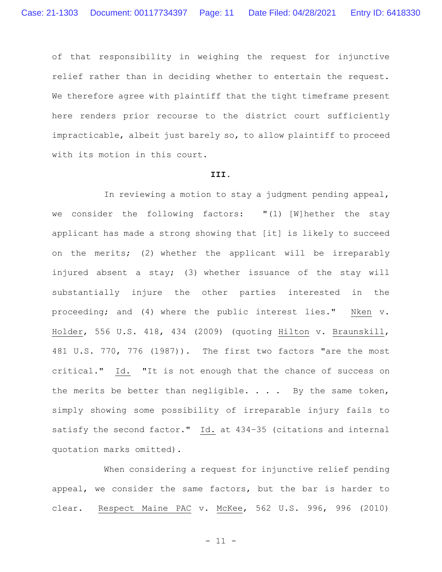of that responsibility in weighing the request for injunctive relief rather than in deciding whether to entertain the request. We therefore agree with plaintiff that the tight timeframe present here renders prior recourse to the district court sufficiently impracticable, albeit just barely so, to allow plaintiff to proceed with its motion in this court.

#### **III.**

In reviewing a motion to stay a judgment pending appeal, we consider the following factors: "(1) [W]hether the stay applicant has made a strong showing that [it] is likely to succeed on the merits; (2) whether the applicant will be irreparably injured absent a stay; (3) whether issuance of the stay will substantially injure the other parties interested in the proceeding; and (4) where the public interest lies." Nken v. Holder, 556 U.S. 418, 434 (2009) (quoting Hilton v. Braunskill, 481 U.S. 770, 776 (1987)). The first two factors "are the most critical." Id. "It is not enough that the chance of success on the merits be better than negligible.  $\ldots$  By the same token, simply showing some possibility of irreparable injury fails to satisfy the second factor." Id. at 434–35 (citations and internal quotation marks omitted).

When considering a request for injunctive relief pending appeal, we consider the same factors, but the bar is harder to clear. Respect Maine PAC v. McKee, 562 U.S. 996, 996 (2010)

- 11 -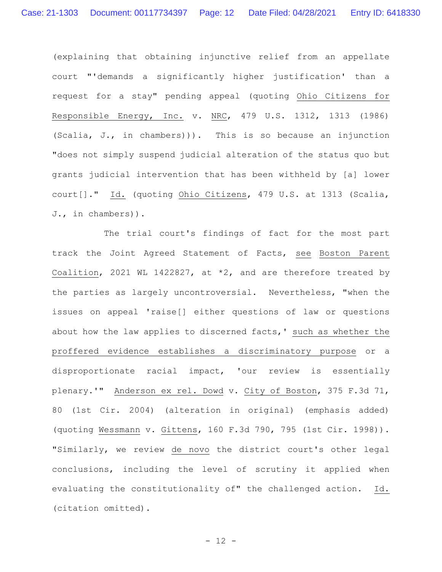(explaining that obtaining injunctive relief from an appellate court "'demands a significantly higher justification' than a request for a stay" pending appeal (quoting Ohio Citizens for Responsible Energy, Inc. v. NRC, 479 U.S. 1312, 1313 (1986) (Scalia, J., in chambers))). This is so because an injunction "does not simply suspend judicial alteration of the status quo but grants judicial intervention that has been withheld by [a] lower court[]." Id. (quoting Ohio Citizens, 479 U.S. at 1313 (Scalia, J., in chambers)).

The trial court's findings of fact for the most part track the Joint Agreed Statement of Facts, see Boston Parent Coalition, 2021 WL 1422827, at \*2, and are therefore treated by the parties as largely uncontroversial. Nevertheless, "when the issues on appeal 'raise[] either questions of law or questions about how the law applies to discerned facts,' such as whether the proffered evidence establishes a discriminatory purpose or a disproportionate racial impact, 'our review is essentially plenary.'" Anderson ex rel. Dowd v. City of Boston, 375 F.3d 71, 80 (1st Cir. 2004) (alteration in original) (emphasis added) (quoting Wessmann v. Gittens, 160 F.3d 790, 795 (1st Cir. 1998)). "Similarly, we review de novo the district court's other legal conclusions, including the level of scrutiny it applied when evaluating the constitutionality of" the challenged action. Id. (citation omitted).

- 12 -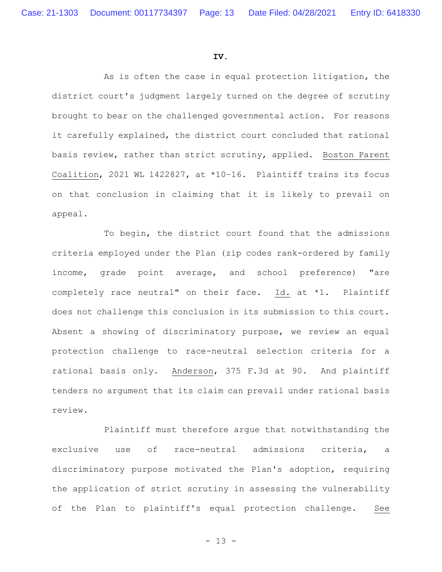#### **IV.**

As is often the case in equal protection litigation, the district court's judgment largely turned on the degree of scrutiny brought to bear on the challenged governmental action. For reasons it carefully explained, the district court concluded that rational basis review, rather than strict scrutiny, applied. Boston Parent Coalition, 2021 WL 1422827, at \*10–16. Plaintiff trains its focus on that conclusion in claiming that it is likely to prevail on appeal.

To begin, the district court found that the admissions criteria employed under the Plan (zip codes rank-ordered by family income, grade point average, and school preference) "are completely race neutral" on their face. Id. at \*1. Plaintiff does not challenge this conclusion in its submission to this court. Absent a showing of discriminatory purpose, we review an equal protection challenge to race-neutral selection criteria for a rational basis only. Anderson, 375 F.3d at 90. And plaintiff tenders no argument that its claim can prevail under rational basis review.

Plaintiff must therefore argue that notwithstanding the exclusive use of race-neutral admissions criteria, a discriminatory purpose motivated the Plan's adoption, requiring the application of strict scrutiny in assessing the vulnerability of the Plan to plaintiff's equal protection challenge. See

- 13 -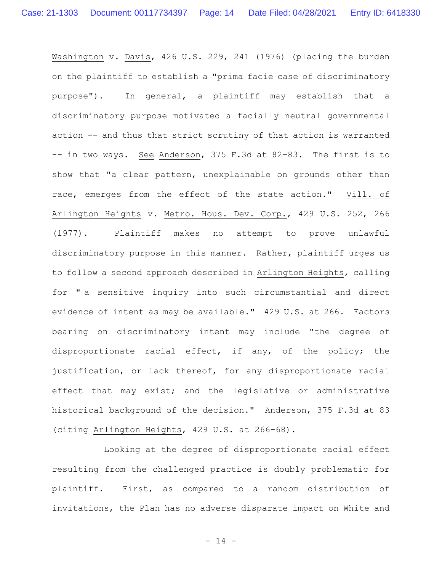Washington v. Davis, 426 U.S. 229, 241 (1976) (placing the burden on the plaintiff to establish a "prima facie case of discriminatory purpose"). In general, a plaintiff may establish that a discriminatory purpose motivated a facially neutral governmental action -- and thus that strict scrutiny of that action is warranted -- in two ways. See Anderson, 375 F.3d at 82–83. The first is to show that "a clear pattern, unexplainable on grounds other than race, emerges from the effect of the state action." Vill. of Arlington Heights v. Metro. Hous. Dev. Corp., 429 U.S. 252, 266 (1977). Plaintiff makes no attempt to prove unlawful discriminatory purpose in this manner. Rather, plaintiff urges us to follow a second approach described in Arlington Heights, calling for " a sensitive inquiry into such circumstantial and direct evidence of intent as may be available." 429 U.S. at 266. Factors bearing on discriminatory intent may include "the degree of disproportionate racial effect, if any, of the policy; the justification, or lack thereof, for any disproportionate racial effect that may exist; and the legislative or administrative historical background of the decision." Anderson, 375 F.3d at 83 (citing Arlington Heights, 429 U.S. at 266–68).

Looking at the degree of disproportionate racial effect resulting from the challenged practice is doubly problematic for plaintiff. First, as compared to a random distribution of invitations, the Plan has no adverse disparate impact on White and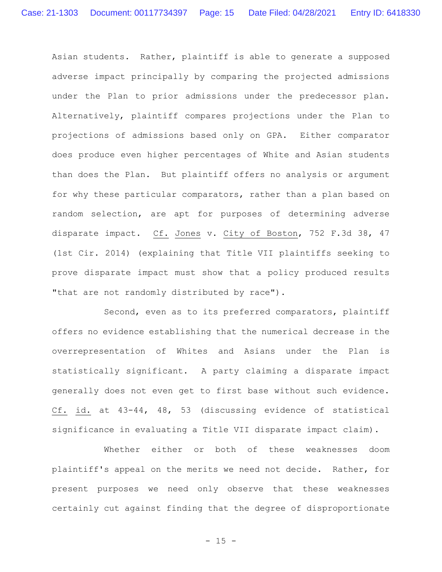Asian students. Rather, plaintiff is able to generate a supposed adverse impact principally by comparing the projected admissions under the Plan to prior admissions under the predecessor plan. Alternatively, plaintiff compares projections under the Plan to projections of admissions based only on GPA. Either comparator does produce even higher percentages of White and Asian students than does the Plan. But plaintiff offers no analysis or argument for why these particular comparators, rather than a plan based on random selection, are apt for purposes of determining adverse disparate impact. Cf. Jones v. City of Boston, 752 F.3d 38, 47 (1st Cir. 2014) (explaining that Title VII plaintiffs seeking to prove disparate impact must show that a policy produced results "that are not randomly distributed by race").

Second, even as to its preferred comparators, plaintiff offers no evidence establishing that the numerical decrease in the overrepresentation of Whites and Asians under the Plan is statistically significant. A party claiming a disparate impact generally does not even get to first base without such evidence. Cf. id. at 43-44, 48, 53 (discussing evidence of statistical significance in evaluating a Title VII disparate impact claim).

Whether either or both of these weaknesses doom plaintiff's appeal on the merits we need not decide. Rather, for present purposes we need only observe that these weaknesses certainly cut against finding that the degree of disproportionate

 $- 15 -$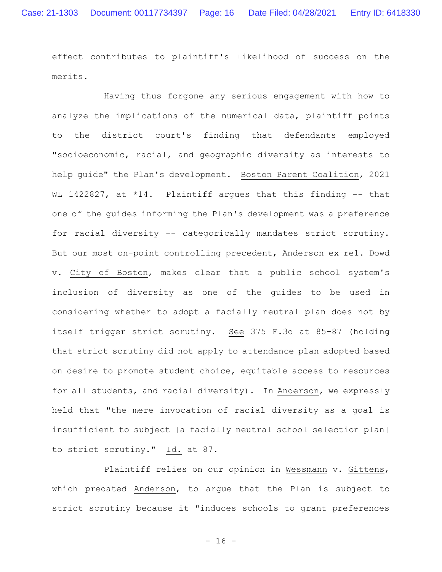effect contributes to plaintiff's likelihood of success on the merits.

Having thus forgone any serious engagement with how to analyze the implications of the numerical data, plaintiff points to the district court's finding that defendants employed "socioeconomic, racial, and geographic diversity as interests to help guide" the Plan's development. Boston Parent Coalition, 2021 WL 1422827, at \*14. Plaintiff argues that this finding -- that one of the guides informing the Plan's development was a preference for racial diversity -- categorically mandates strict scrutiny. But our most on-point controlling precedent, Anderson ex rel. Dowd v. City of Boston, makes clear that a public school system's inclusion of diversity as one of the guides to be used in considering whether to adopt a facially neutral plan does not by itself trigger strict scrutiny. See 375 F.3d at 85–87 (holding that strict scrutiny did not apply to attendance plan adopted based on desire to promote student choice, equitable access to resources for all students, and racial diversity). In Anderson, we expressly held that "the mere invocation of racial diversity as a goal is insufficient to subject [a facially neutral school selection plan] to strict scrutiny." Id. at 87.

Plaintiff relies on our opinion in Wessmann v. Gittens, which predated Anderson, to argue that the Plan is subject to strict scrutiny because it "induces schools to grant preferences

 $- 16 -$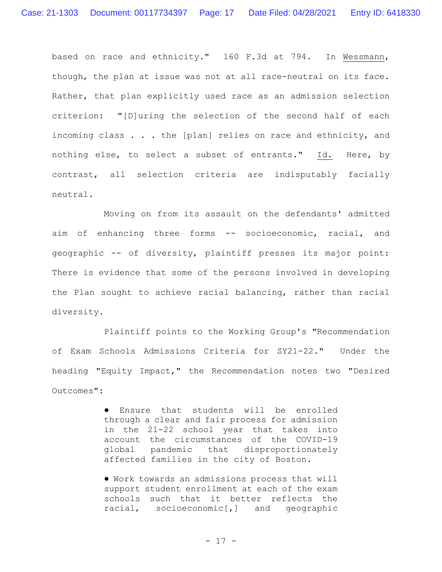based on race and ethnicity." 160 F.3d at 794. In Wessmann, though, the plan at issue was not at all race-neutral on its face. Rather, that plan explicitly used race as an admission selection criterion: "[D]uring the selection of the second half of each incoming class . . . the [plan] relies on race and ethnicity, and nothing else, to select a subset of entrants." Id. Here, by contrast, all selection criteria are indisputably facially neutral.

Moving on from its assault on the defendants' admitted aim of enhancing three forms -- socioeconomic, racial, and geographic -- of diversity, plaintiff presses its major point: There is evidence that some of the persons involved in developing the Plan sought to achieve racial balancing, rather than racial diversity.

Plaintiff points to the Working Group's "Recommendation of Exam Schools Admissions Criteria for SY21-22." Under the heading "Equity Impact," the Recommendation notes two "Desired Outcomes":

> ● Ensure that students will be enrolled through a clear and fair process for admission in the 21-22 school year that takes into account the circumstances of the COVID-19 global pandemic that disproportionately affected families in the city of Boston.

> ● Work towards an admissions process that will support student enrollment at each of the exam schools such that it better reflects the racial, socioeconomic[,] and geographic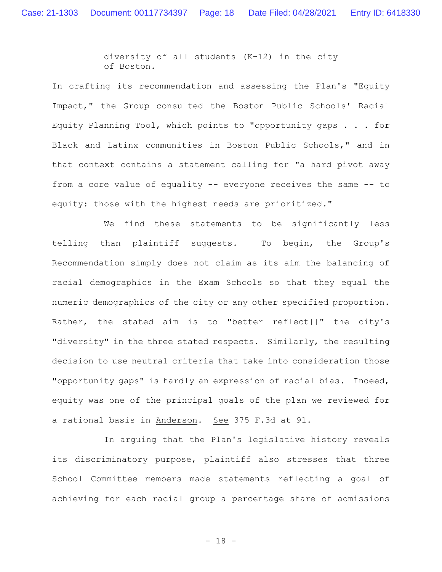diversity of all students (K-12) in the city of Boston.

In crafting its recommendation and assessing the Plan's "Equity Impact," the Group consulted the Boston Public Schools' Racial Equity Planning Tool, which points to "opportunity gaps . . . for Black and Latinx communities in Boston Public Schools," and in that context contains a statement calling for "a hard pivot away from a core value of equality -- everyone receives the same -- to equity: those with the highest needs are prioritized."

We find these statements to be significantly less telling than plaintiff suggests. To begin, the Group's Recommendation simply does not claim as its aim the balancing of racial demographics in the Exam Schools so that they equal the numeric demographics of the city or any other specified proportion. Rather, the stated aim is to "better reflect[]" the city's "diversity" in the three stated respects. Similarly, the resulting decision to use neutral criteria that take into consideration those "opportunity gaps" is hardly an expression of racial bias. Indeed, equity was one of the principal goals of the plan we reviewed for a rational basis in Anderson. See 375 F.3d at 91.

In arguing that the Plan's legislative history reveals its discriminatory purpose, plaintiff also stresses that three School Committee members made statements reflecting a goal of achieving for each racial group a percentage share of admissions

- 18 -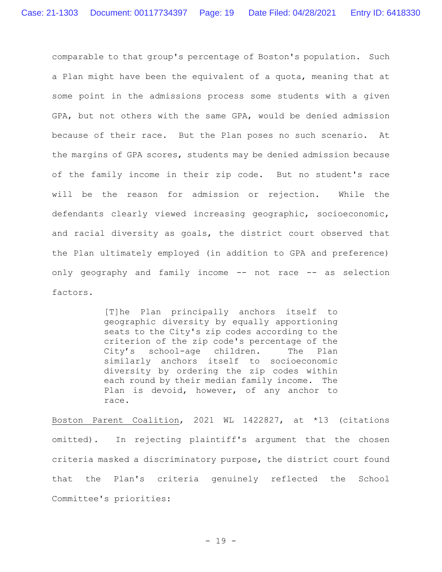comparable to that group's percentage of Boston's population. Such a Plan might have been the equivalent of a quota, meaning that at some point in the admissions process some students with a given GPA, but not others with the same GPA, would be denied admission because of their race. But the Plan poses no such scenario. At the margins of GPA scores, students may be denied admission because of the family income in their zip code. But no student's race will be the reason for admission or rejection. While the defendants clearly viewed increasing geographic, socioeconomic, and racial diversity as goals, the district court observed that the Plan ultimately employed (in addition to GPA and preference) only geography and family income -- not race -- as selection factors.

> [T]he Plan principally anchors itself to geographic diversity by equally apportioning seats to the City's zip codes according to the criterion of the zip code's percentage of the City's school-age children. The Plan similarly anchors itself to socioeconomic diversity by ordering the zip codes within each round by their median family income. The Plan is devoid, however, of any anchor to race.

Boston Parent Coalition, 2021 WL 1422827, at \*13 (citations omitted). In rejecting plaintiff's argument that the chosen criteria masked a discriminatory purpose, the district court found that the Plan's criteria genuinely reflected the School Committee's priorities: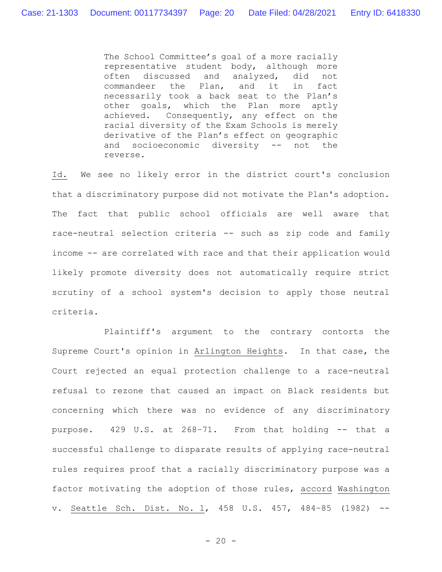The School Committee's goal of a more racially representative student body, although more often discussed and analyzed, did not commandeer the Plan, and it in fact necessarily took a back seat to the Plan's other goals, which the Plan more aptly achieved. Consequently, any effect on the racial diversity of the Exam Schools is merely derivative of the Plan's effect on geographic and socioeconomic diversity -- not the reverse.

Id. We see no likely error in the district court's conclusion that a discriminatory purpose did not motivate the Plan's adoption. The fact that public school officials are well aware that race-neutral selection criteria -- such as zip code and family income -- are correlated with race and that their application would likely promote diversity does not automatically require strict scrutiny of a school system's decision to apply those neutral criteria.

Plaintiff's argument to the contrary contorts the Supreme Court's opinion in Arlington Heights. In that case, the Court rejected an equal protection challenge to a race-neutral refusal to rezone that caused an impact on Black residents but concerning which there was no evidence of any discriminatory purpose. 429 U.S. at 268–71. From that holding -- that a successful challenge to disparate results of applying race-neutral rules requires proof that a racially discriminatory purpose was a factor motivating the adoption of those rules, accord Washington v. Seattle Sch. Dist. No. 1, 458 U.S. 457, 484–85 (1982) --

 $- 20 -$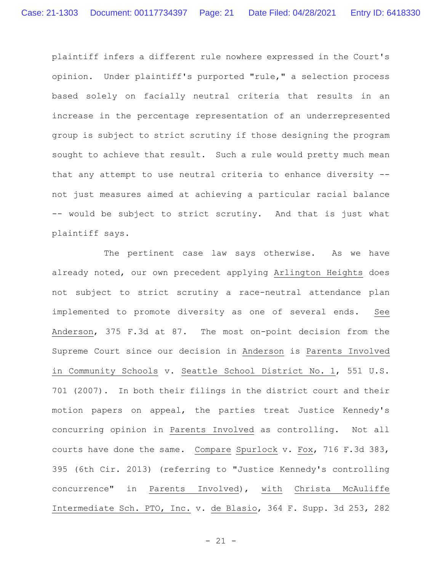plaintiff infers a different rule nowhere expressed in the Court's opinion. Under plaintiff's purported "rule," a selection process based solely on facially neutral criteria that results in an increase in the percentage representation of an underrepresented group is subject to strict scrutiny if those designing the program sought to achieve that result. Such a rule would pretty much mean that any attempt to use neutral criteria to enhance diversity - not just measures aimed at achieving a particular racial balance -- would be subject to strict scrutiny. And that is just what plaintiff says.

The pertinent case law says otherwise. As we have already noted, our own precedent applying Arlington Heights does not subject to strict scrutiny a race-neutral attendance plan implemented to promote diversity as one of several ends. See Anderson, 375 F.3d at 87. The most on-point decision from the Supreme Court since our decision in Anderson is Parents Involved in Community Schools v. Seattle School District No. 1, 551 U.S. 701 (2007). In both their filings in the district court and their motion papers on appeal, the parties treat Justice Kennedy's concurring opinion in Parents Involved as controlling. Not all courts have done the same. Compare Spurlock v. Fox, 716 F.3d 383, 395 (6th Cir. 2013) (referring to "Justice Kennedy's controlling concurrence" in Parents Involved), with Christa McAuliffe Intermediate Sch. PTO, Inc. v. de Blasio, 364 F. Supp. 3d 253, 282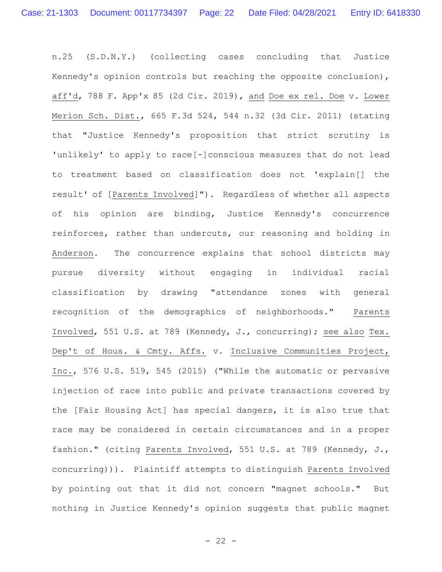n.25 (S.D.N.Y.) (collecting cases concluding that Justice Kennedy's opinion controls but reaching the opposite conclusion), aff'd, 788 F. App'x 85 (2d Cir. 2019), and Doe ex rel. Doe v. Lower Merion Sch. Dist., 665 F.3d 524, 544 n.32 (3d Cir. 2011) (stating that "Justice Kennedy's proposition that strict scrutiny is 'unlikely' to apply to race[-]conscious measures that do not lead to treatment based on classification does not 'explain[] the result' of [Parents Involved]"). Regardless of whether all aspects of his opinion are binding, Justice Kennedy's concurrence reinforces, rather than undercuts, our reasoning and holding in Anderson. The concurrence explains that school districts may pursue diversity without engaging in individual racial classification by drawing "attendance zones with general recognition of the demographics of neighborhoods." Parents Involved, 551 U.S. at 789 (Kennedy, J., concurring); see also Tex. Dep't of Hous. & Cmty. Affs. v. Inclusive Communities Project, Inc., 576 U.S. 519, 545 (2015) ("While the automatic or pervasive injection of race into public and private transactions covered by the [Fair Housing Act] has special dangers, it is also true that race may be considered in certain circumstances and in a proper fashion." (citing Parents Involved, 551 U.S. at 789 (Kennedy, J., concurring))). Plaintiff attempts to distinguish Parents Involved by pointing out that it did not concern "magnet schools." But nothing in Justice Kennedy's opinion suggests that public magnet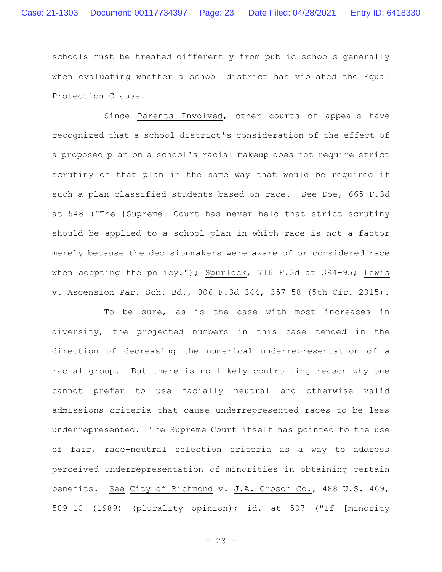schools must be treated differently from public schools generally when evaluating whether a school district has violated the Equal Protection Clause.

Since Parents Involved, other courts of appeals have recognized that a school district's consideration of the effect of a proposed plan on a school's racial makeup does not require strict scrutiny of that plan in the same way that would be required if such a plan classified students based on race. See Doe, 665 F.3d at 548 ("The [Supreme] Court has never held that strict scrutiny should be applied to a school plan in which race is not a factor merely because the decisionmakers were aware of or considered race when adopting the policy."); Spurlock, 716 F.3d at 394-95; Lewis v. Ascension Par. Sch. Bd., 806 F.3d 344, 357–58 (5th Cir. 2015).

To be sure, as is the case with most increases in diversity, the projected numbers in this case tended in the direction of decreasing the numerical underrepresentation of a racial group. But there is no likely controlling reason why one cannot prefer to use facially neutral and otherwise valid admissions criteria that cause underrepresented races to be less underrepresented. The Supreme Court itself has pointed to the use of fair, race-neutral selection criteria as a way to address perceived underrepresentation of minorities in obtaining certain benefits. See City of Richmond v. J.A. Croson Co., 488 U.S. 469, 509–10 (1989) (plurality opinion); id. at 507 ("If [minority

 $- 23 -$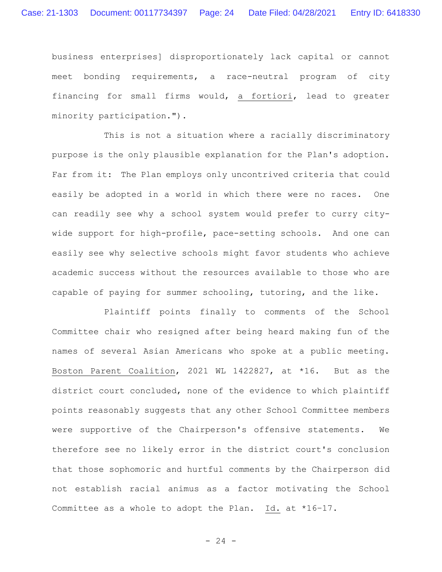business enterprises] disproportionately lack capital or cannot meet bonding requirements, a race-neutral program of city financing for small firms would, a fortiori, lead to greater minority participation.").

This is not a situation where a racially discriminatory purpose is the only plausible explanation for the Plan's adoption. Far from it: The Plan employs only uncontrived criteria that could easily be adopted in a world in which there were no races. One can readily see why a school system would prefer to curry citywide support for high-profile, pace-setting schools. And one can easily see why selective schools might favor students who achieve academic success without the resources available to those who are capable of paying for summer schooling, tutoring, and the like.

Plaintiff points finally to comments of the School Committee chair who resigned after being heard making fun of the names of several Asian Americans who spoke at a public meeting. Boston Parent Coalition, 2021 WL 1422827, at \*16. But as the district court concluded, none of the evidence to which plaintiff points reasonably suggests that any other School Committee members were supportive of the Chairperson's offensive statements. We therefore see no likely error in the district court's conclusion that those sophomoric and hurtful comments by the Chairperson did not establish racial animus as a factor motivating the School Committee as a whole to adopt the Plan. Id. at \*16–17.

 $- 24 -$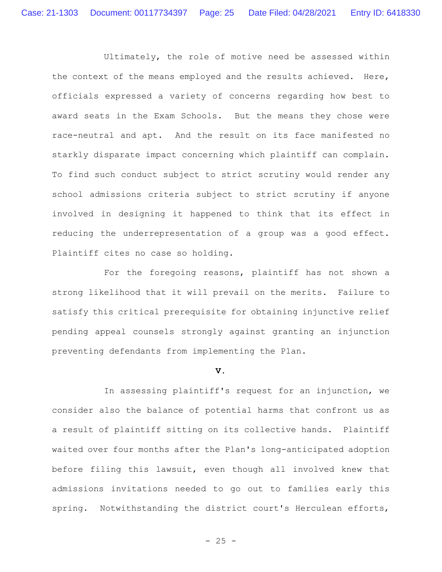Ultimately, the role of motive need be assessed within the context of the means employed and the results achieved. Here, officials expressed a variety of concerns regarding how best to award seats in the Exam Schools. But the means they chose were race-neutral and apt. And the result on its face manifested no starkly disparate impact concerning which plaintiff can complain. To find such conduct subject to strict scrutiny would render any school admissions criteria subject to strict scrutiny if anyone involved in designing it happened to think that its effect in reducing the underrepresentation of a group was a good effect. Plaintiff cites no case so holding.

For the foregoing reasons, plaintiff has not shown a strong likelihood that it will prevail on the merits. Failure to satisfy this critical prerequisite for obtaining injunctive relief pending appeal counsels strongly against granting an injunction preventing defendants from implementing the Plan.

#### **V.**

In assessing plaintiff's request for an injunction, we consider also the balance of potential harms that confront us as a result of plaintiff sitting on its collective hands. Plaintiff waited over four months after the Plan's long-anticipated adoption before filing this lawsuit, even though all involved knew that admissions invitations needed to go out to families early this spring. Notwithstanding the district court's Herculean efforts,

 $- 25 -$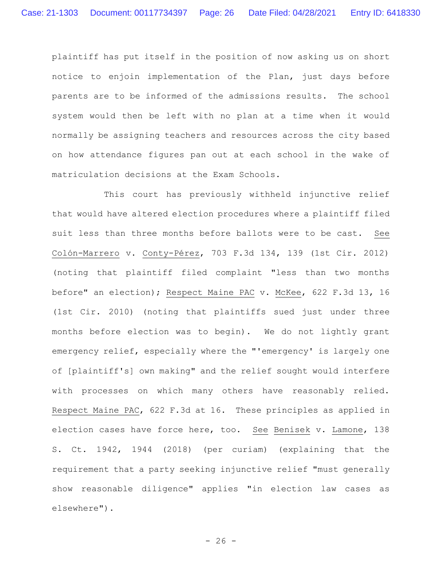plaintiff has put itself in the position of now asking us on short notice to enjoin implementation of the Plan, just days before parents are to be informed of the admissions results. The school system would then be left with no plan at a time when it would normally be assigning teachers and resources across the city based on how attendance figures pan out at each school in the wake of matriculation decisions at the Exam Schools.

This court has previously withheld injunctive relief that would have altered election procedures where a plaintiff filed suit less than three months before ballots were to be cast. See Colón-Marrero v. Conty-Pérez, 703 F.3d 134, 139 (1st Cir. 2012) (noting that plaintiff filed complaint "less than two months before" an election); Respect Maine PAC v. McKee, 622 F.3d 13, 16 (1st Cir. 2010) (noting that plaintiffs sued just under three months before election was to begin). We do not lightly grant emergency relief, especially where the "'emergency' is largely one of [plaintiff's] own making" and the relief sought would interfere with processes on which many others have reasonably relied. Respect Maine PAC, 622 F.3d at 16. These principles as applied in election cases have force here, too. See Benisek v. Lamone, 138 S. Ct. 1942, 1944 (2018) (per curiam) (explaining that the requirement that a party seeking injunctive relief "must generally show reasonable diligence" applies "in election law cases as elsewhere").

 $- 26 -$